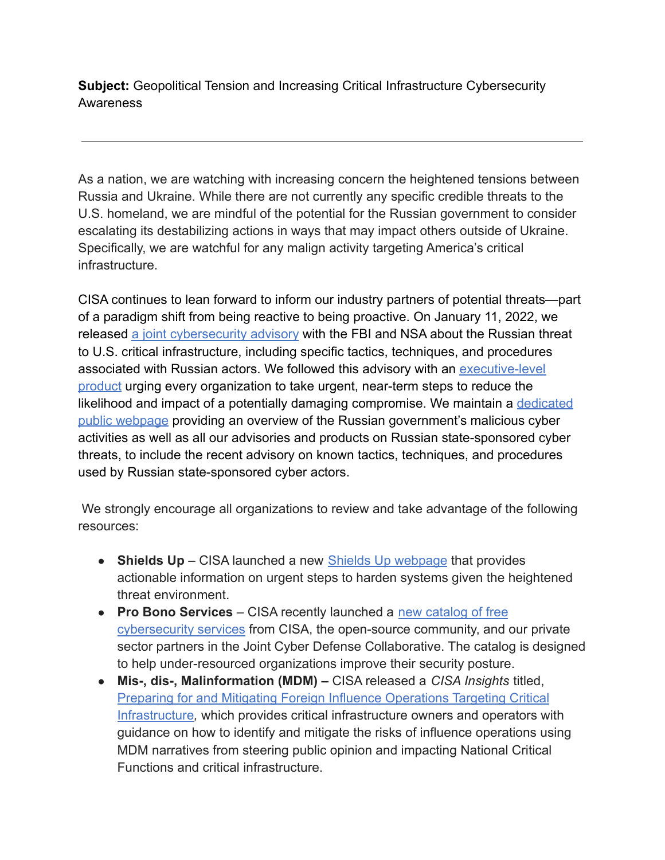**Subject:** Geopolitical Tension and Increasing Critical Infrastructure Cybersecurity **Awareness** 

As a nation, we are watching with increasing concern the heightened tensions between Russia and Ukraine. While there are not currently any specific credible threats to the U.S. homeland, we are mindful of the potential for the Russian government to consider escalating its destabilizing actions in ways that may impact others outside of Ukraine. Specifically, we are watchful for any malign activity targeting America's critical infrastructure.

CISA continues to lean forward to inform our industry partners of potential threats—part of a paradigm shift from being reactive to being proactive. On January 11, 2022, we released [a joint cybersecurity advisory](https://nam04.safelinks.protection.outlook.com/?url=https%3A%2F%2Flinkprotect.cudasvc.com%2Furl%3Fa%3Dhttps%253a%252f%252fwww.cisa.gov%252fuscert%252fncas%252fcurrent-activity%252f2022%252f01%252f11%252fcisa-fbi-and-nsa-release-cybersecurity-advisory-russian-cyber%26c%3DE%2C1%2C2_eIX7a-4o-PFGOeWN3Z-nxtNwY57cDmiz9Xd5V0W9m4TmQfA2UZu41KTUJfJEP2UFb6JpfjWR5TM6jkMI7PWw1aMbF7CpxKEJbYz6-G99pTPRQdIA%2C%2C%26typo%3D1&data=04%7C01%7Cgdowner%40howard.edu%7Cc5f544514f0d4a44952b08d9f8a8a167%7C02ac0c07b75f46bf9b133630ba94bb69%7C0%7C0%7C637814225562001210%7CUnknown%7CTWFpbGZsb3d8eyJWIjoiMC4wLjAwMDAiLCJQIjoiV2luMzIiLCJBTiI6Ik1haWwiLCJXVCI6Mn0%3D%7C1000&sdata=IvSUkduxldXzYOLKf5d5BNHwLJHt9KgFIypUV3LbjGA%3D&reserved=0) with the FBI and NSA about the Russian threat to U.S. critical infrastructure, including specific tactics, techniques, and procedures associated with Russian actors. We followed this advisory with an [executive-level](https://nam04.safelinks.protection.outlook.com/?url=https%3A%2F%2Flinkprotect.cudasvc.com%2Furl%3Fa%3Dhttps%253a%252f%252fwww.cisa.gov%252fsites%252fdefault%252ffiles%252fpublications%252fCISA_Insights-Implement_Cybersecurity_Measures_Now_to_Protect_Against_Critical_Threats_508C.pdf%26c%3DE%2C1%2CZ0P3-iKsRpPn-IkIp1vDFFIPHow3PwhW8yVMiDdVwH4a8iVP53Za7kl4uSUSPXaWDutWsM03cc7vs8fsJjMZIp4GYuui1ouFppPB1mWSZ4lDaQWtTA%2C%2C%26typo%3D1&data=04%7C01%7Cgdowner%40howard.edu%7Cc5f544514f0d4a44952b08d9f8a8a167%7C02ac0c07b75f46bf9b133630ba94bb69%7C0%7C0%7C637814225562001210%7CUnknown%7CTWFpbGZsb3d8eyJWIjoiMC4wLjAwMDAiLCJQIjoiV2luMzIiLCJBTiI6Ik1haWwiLCJXVCI6Mn0%3D%7C1000&sdata=YKg8WE%2F1aPlQFb2kGoTohMv%2FFYBskxyROFtWUeIUxPg%3D&reserved=0) [product](https://nam04.safelinks.protection.outlook.com/?url=https%3A%2F%2Flinkprotect.cudasvc.com%2Furl%3Fa%3Dhttps%253a%252f%252fwww.cisa.gov%252fsites%252fdefault%252ffiles%252fpublications%252fCISA_Insights-Implement_Cybersecurity_Measures_Now_to_Protect_Against_Critical_Threats_508C.pdf%26c%3DE%2C1%2CZ0P3-iKsRpPn-IkIp1vDFFIPHow3PwhW8yVMiDdVwH4a8iVP53Za7kl4uSUSPXaWDutWsM03cc7vs8fsJjMZIp4GYuui1ouFppPB1mWSZ4lDaQWtTA%2C%2C%26typo%3D1&data=04%7C01%7Cgdowner%40howard.edu%7Cc5f544514f0d4a44952b08d9f8a8a167%7C02ac0c07b75f46bf9b133630ba94bb69%7C0%7C0%7C637814225562001210%7CUnknown%7CTWFpbGZsb3d8eyJWIjoiMC4wLjAwMDAiLCJQIjoiV2luMzIiLCJBTiI6Ik1haWwiLCJXVCI6Mn0%3D%7C1000&sdata=YKg8WE%2F1aPlQFb2kGoTohMv%2FFYBskxyROFtWUeIUxPg%3D&reserved=0) urging every organization to take urgent, near-term steps to reduce the likelihood and impact of a potentially damaging compromise. We maintain a [dedicated](https://nam04.safelinks.protection.outlook.com/?url=https%3A%2F%2Flinkprotect.cudasvc.com%2Furl%3Fa%3Dhttps%253a%252f%252fwww.cisa.gov%252fuscert%252frussia%26c%3DE%2C1%2CtmT46p9loTNtaF_VGonIX7CKViwIti6OVF-WD4djQjRA8Ez_DQJUPR59ynNySkeG8DLTAVJZdSOq94AD1bA7Uv7dz3QplFIeMh62H4Luhxvi%26typo%3D1&data=04%7C01%7Cgdowner%40howard.edu%7Cc5f544514f0d4a44952b08d9f8a8a167%7C02ac0c07b75f46bf9b133630ba94bb69%7C0%7C0%7C637814225562001210%7CUnknown%7CTWFpbGZsb3d8eyJWIjoiMC4wLjAwMDAiLCJQIjoiV2luMzIiLCJBTiI6Ik1haWwiLCJXVCI6Mn0%3D%7C1000&sdata=TOFRUpQ0aqFgQi%2FU%2BxndAnw2yBH5tOuiVfx%2F5yRf6E8%3D&reserved=0) [public webpage](https://nam04.safelinks.protection.outlook.com/?url=https%3A%2F%2Flinkprotect.cudasvc.com%2Furl%3Fa%3Dhttps%253a%252f%252fwww.cisa.gov%252fuscert%252frussia%26c%3DE%2C1%2CtmT46p9loTNtaF_VGonIX7CKViwIti6OVF-WD4djQjRA8Ez_DQJUPR59ynNySkeG8DLTAVJZdSOq94AD1bA7Uv7dz3QplFIeMh62H4Luhxvi%26typo%3D1&data=04%7C01%7Cgdowner%40howard.edu%7Cc5f544514f0d4a44952b08d9f8a8a167%7C02ac0c07b75f46bf9b133630ba94bb69%7C0%7C0%7C637814225562001210%7CUnknown%7CTWFpbGZsb3d8eyJWIjoiMC4wLjAwMDAiLCJQIjoiV2luMzIiLCJBTiI6Ik1haWwiLCJXVCI6Mn0%3D%7C1000&sdata=TOFRUpQ0aqFgQi%2FU%2BxndAnw2yBH5tOuiVfx%2F5yRf6E8%3D&reserved=0) providing an overview of the Russian government's malicious cyber activities as well as all our advisories and products on Russian state-sponsored cyber threats, to include the recent advisory on known tactics, techniques, and procedures used by Russian state-sponsored cyber actors.

We strongly encourage all organizations to review and take advantage of the following resources:

- **Shields Up** CISA launched a new **[Shields Up webpage](https://nam04.safelinks.protection.outlook.com/?url=https%3A%2F%2Flinkprotect.cudasvc.com%2Furl%3Fa%3Dhttps%253a%252f%252fwww.cisa.gov%252fshields-up%26c%3DE%2C1%2Cj7ePoycvVkB3UiILda80jowFLp_LfbIYI3Ddau62VGsrGczQfj2LolxQBdQzWEwji438VqzUVQK5mCHa4Qh87NE9_uyFxHPo7RA8G-j3AQc3gO6xEw%2C%2C%26typo%3D1&data=04%7C01%7Cgdowner%40howard.edu%7Cc5f544514f0d4a44952b08d9f8a8a167%7C02ac0c07b75f46bf9b133630ba94bb69%7C0%7C0%7C637814225562001210%7CUnknown%7CTWFpbGZsb3d8eyJWIjoiMC4wLjAwMDAiLCJQIjoiV2luMzIiLCJBTiI6Ik1haWwiLCJXVCI6Mn0%3D%7C1000&sdata=Sl3lF3W3u4q%2BvrTBYHhU3k0qEpO6jSdFu32hjeGcR%2FU%3D&reserved=0) that provides** actionable information on urgent steps to harden systems given the heightened threat environment.
- **Pro Bono Services** CISA recently launched a [new catalog](https://nam04.safelinks.protection.outlook.com/?url=https%3A%2F%2Flinkprotect.cudasvc.com%2Furl%3Fa%3Dhttps%253a%252f%252fwww.cisa.gov%252ffree-cybersecurity-services-and-tools%26c%3DE%2C1%2C0sxGbFcdqgMna6tCQfLukMPVUEkkVin18hQm06nOQdgvWM1HZpZCuXs8oEQbSzcpRvvQYmVT5extgL0-ndHCe5Zoj_SIvD2T9Z8JiI4xVA%2C%2C%26typo%3D1&data=04%7C01%7Cgdowner%40howard.edu%7Cc5f544514f0d4a44952b08d9f8a8a167%7C02ac0c07b75f46bf9b133630ba94bb69%7C0%7C0%7C637814225562001210%7CUnknown%7CTWFpbGZsb3d8eyJWIjoiMC4wLjAwMDAiLCJQIjoiV2luMzIiLCJBTiI6Ik1haWwiLCJXVCI6Mn0%3D%7C1000&sdata=7OvozCX7fUTYuhyG%2BAMT%2BacHmjh3erEI3RczZTI5ew8%3D&reserved=0) of free [cybersecurity services](https://nam04.safelinks.protection.outlook.com/?url=https%3A%2F%2Flinkprotect.cudasvc.com%2Furl%3Fa%3Dhttps%253a%252f%252fwww.cisa.gov%252ffree-cybersecurity-services-and-tools%26c%3DE%2C1%2C0sxGbFcdqgMna6tCQfLukMPVUEkkVin18hQm06nOQdgvWM1HZpZCuXs8oEQbSzcpRvvQYmVT5extgL0-ndHCe5Zoj_SIvD2T9Z8JiI4xVA%2C%2C%26typo%3D1&data=04%7C01%7Cgdowner%40howard.edu%7Cc5f544514f0d4a44952b08d9f8a8a167%7C02ac0c07b75f46bf9b133630ba94bb69%7C0%7C0%7C637814225562001210%7CUnknown%7CTWFpbGZsb3d8eyJWIjoiMC4wLjAwMDAiLCJQIjoiV2luMzIiLCJBTiI6Ik1haWwiLCJXVCI6Mn0%3D%7C1000&sdata=7OvozCX7fUTYuhyG%2BAMT%2BacHmjh3erEI3RczZTI5ew8%3D&reserved=0) from CISA, the open-source community, and our private sector partners in the Joint Cyber Defense Collaborative. The catalog is designed to help under-resourced organizations improve their security posture.
- **Mis-, dis-, Malinformation (MDM) –** CISA released a *CISA Insights* titled, [Preparing for and Mitigating Foreign Influence Operations Targeting Critical](https://nam04.safelinks.protection.outlook.com/?url=https%3A%2F%2Flinkprotect.cudasvc.com%2Furl%3Fa%3Dhttps%253a%252f%252fwww.cisa.gov%252fsites%252fdefault%252ffiles%252fpublications%252fcisa_insight_mitigating_foreign_influence_508.pdf%26c%3DE%2C1%2CB__qEBRsfMmXefH6616M6eq9LHoE5Ms_Wvpq4mF_qRaECT4RHgN2k_tq-cca9CZxjP2c0UJqP9oOW5fw6g37sSntstT3HcE5__V0DYkUqA%2C%2C%26typo%3D1&data=04%7C01%7Cgdowner%40howard.edu%7Cc5f544514f0d4a44952b08d9f8a8a167%7C02ac0c07b75f46bf9b133630ba94bb69%7C0%7C0%7C637814225562001210%7CUnknown%7CTWFpbGZsb3d8eyJWIjoiMC4wLjAwMDAiLCJQIjoiV2luMzIiLCJBTiI6Ik1haWwiLCJXVCI6Mn0%3D%7C1000&sdata=lxKqkvm2QAFA110%2FM%2FKqWU20vIiis23%2BUOjJM8o3%2FUA%3D&reserved=0) [Infrastructure](https://nam04.safelinks.protection.outlook.com/?url=https%3A%2F%2Flinkprotect.cudasvc.com%2Furl%3Fa%3Dhttps%253a%252f%252fwww.cisa.gov%252fsites%252fdefault%252ffiles%252fpublications%252fcisa_insight_mitigating_foreign_influence_508.pdf%26c%3DE%2C1%2CB__qEBRsfMmXefH6616M6eq9LHoE5Ms_Wvpq4mF_qRaECT4RHgN2k_tq-cca9CZxjP2c0UJqP9oOW5fw6g37sSntstT3HcE5__V0DYkUqA%2C%2C%26typo%3D1&data=04%7C01%7Cgdowner%40howard.edu%7Cc5f544514f0d4a44952b08d9f8a8a167%7C02ac0c07b75f46bf9b133630ba94bb69%7C0%7C0%7C637814225562001210%7CUnknown%7CTWFpbGZsb3d8eyJWIjoiMC4wLjAwMDAiLCJQIjoiV2luMzIiLCJBTiI6Ik1haWwiLCJXVCI6Mn0%3D%7C1000&sdata=lxKqkvm2QAFA110%2FM%2FKqWU20vIiis23%2BUOjJM8o3%2FUA%3D&reserved=0)*,* which provides critical infrastructure owners and operators with guidance on how to identify and mitigate the risks of influence operations using MDM narratives from steering public opinion and impacting National Critical Functions and critical infrastructure.